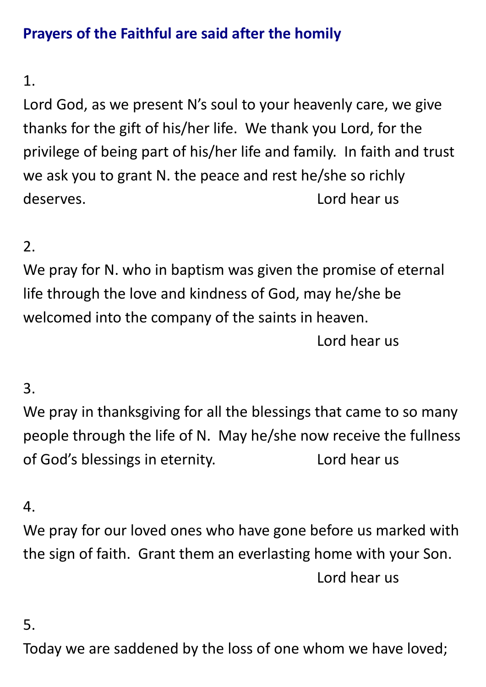# **Prayers of the Faithful are said after the homily**

## 1.

Lord God, as we present N's soul to your heavenly care, we give thanks for the gift of his/her life. We thank you Lord, for the privilege of being part of his/her life and family. In faith and trust we ask you to grant N. the peace and rest he/she so richly deserves. Lord hear us

## 2.

We pray for N. who in baptism was given the promise of eternal life through the love and kindness of God, may he/she be welcomed into the company of the saints in heaven. Lord hear us

### 3.

We pray in thanksgiving for all the blessings that came to so many people through the life of N. May he/she now receive the fullness of God's blessings in eternity. Lord hear us

### 4.

We pray for our loved ones who have gone before us marked with the sign of faith. Grant them an everlasting home with your Son. Lord hear us

### 5.

Today we are saddened by the loss of one whom we have loved;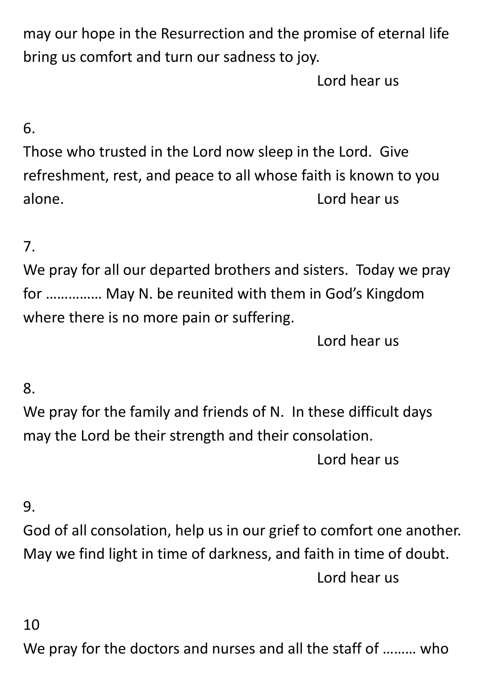may our hope in the Resurrection and the promise of eternal life bring us comfort and turn our sadness to joy.

Lord hear us

## 6.

Those who trusted in the Lord now sleep in the Lord. Give refreshment, rest, and peace to all whose faith is known to you alone. Lord hear us

### 7.

We pray for all our departed brothers and sisters. Today we pray for …………… May N. be reunited with them in God's Kingdom where there is no more pain or suffering.

Lord hear us

#### 8.

We pray for the family and friends of N. In these difficult days may the Lord be their strength and their consolation. Lord hear us

### 9.

God of all consolation, help us in our grief to comfort one another. May we find light in time of darkness, and faith in time of doubt. Lord hear us

### 10

We pray for the doctors and nurses and all the staff of ……… who